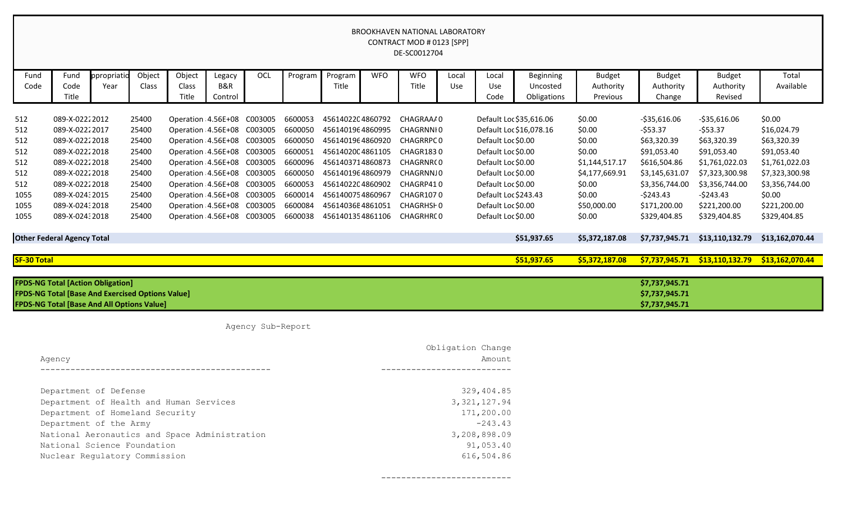BROOKHAVEN NATIONAL LABORATORY CONTRACT MOD # 0123 [SPP] DE-SC0012704

| Fund               | Fund                                          | ppropriatio                                             | Object | Object | Legacy                     | OCL               | Program      | Program          | <b>WFO</b> | <b>WFO</b>       | Local | Local                | <b>Beginning</b>        | <b>Budget</b>  | <b>Budget</b>  | <b>Budget</b>   | Total           |
|--------------------|-----------------------------------------------|---------------------------------------------------------|--------|--------|----------------------------|-------------------|--------------|------------------|------------|------------------|-------|----------------------|-------------------------|----------------|----------------|-----------------|-----------------|
| Code               | Code                                          | Year                                                    | Class  | Class  | B&R                        |                   |              | Title            |            | Title            | Use   | Use                  | Uncosted                | Authority      | Authority      | Authority       | Available       |
|                    | Title                                         |                                                         |        | Title  | Control                    |                   |              |                  |            |                  |       | Code                 | Obligations             | Previous       | Change         | Revised         |                 |
|                    |                                               |                                                         |        |        |                            |                   |              |                  |            |                  |       |                      |                         |                |                |                 |                 |
| 512                | 089-X-02222012                                |                                                         | 25400  |        | Operation 4.56E+08 C003005 |                   | 6600053      | 4561402204860792 |            | CHAGRAAA0        |       |                      | Default Loc \$35,616.06 | \$0.00         | $-535,616.06$  | $-535,616.06$   | \$0.00          |
| 512                | 089-X-02222017                                |                                                         | 25400  |        | Operation 4.56E+08 C003005 |                   | 6600050      | 4561401964860995 |            | CHAGRNNI0        |       |                      | Default Loc \$16,078.16 | \$0.00         | $-553.37$      | $-553.37$       | \$16,024.79     |
| 512                | 089-X-02222018                                |                                                         | 25400  |        | Operation 4.56E+08         | C003005           | 6600050      | 4561401964860920 |            | <b>CHAGRRPC0</b> |       | Default Loc \$0.00   |                         | \$0.00         | \$63,320.39    | \$63,320.39     | \$63,320.39     |
| 512                | 089-X-02222018                                |                                                         | 25400  |        | Operation 4.56E+08 C003005 |                   | 6600051      | 4561402004861105 |            | CHAGR1830        |       | Default Loc \$0.00   |                         | \$0.00         | \$91,053.40    | \$91,053.40     | \$91,053.40     |
| 512                | 089-X-02222018                                |                                                         | 25400  |        | Operation 4.56E+08 C003005 |                   | 6600096      | 4561403714860873 |            | CHAGRNR(0        |       | Default Loc \$0.00   |                         | \$1,144,517.17 | \$616,504.86   | \$1,761,022.03  | \$1,761,022.03  |
| 512                | 089-X-02222018                                |                                                         | 25400  |        | Operation 4.56E+08 C003005 |                   | 6600050      | 4561401964860979 |            | CHAGRNNJ0        |       | Default Loc \$0.00   |                         | \$4,177,669.91 | \$3,145,631.07 | \$7,323,300.98  | \$7,323,300.98  |
| 512                | 089-X-02222018                                |                                                         | 25400  |        | Operation 4.56E+08 C003005 |                   | 6600053      | 4561402204860902 |            | CHAGRP410        |       | Default Loc \$0.00   |                         | \$0.00         | \$3,356,744.00 | \$3,356,744.00  | \$3,356,744.00  |
| 1055               | 089-X-02432015                                |                                                         | 25400  |        | Operation 4.56E+08         | C003005           | 6600014      | 4561400754860967 |            | CHAGR1070        |       | Default Loc \$243.43 |                         | \$0.00         | $-5243.43$     | $-5243.43$      | \$0.00          |
| 1055               | 089-X-02432018                                |                                                         | 25400  |        | Operation 4.56E+08 C003005 |                   | 6600084      | 45614036E4861051 |            | CHAGRHSH0        |       | Default Loc \$0.00   |                         | \$50,000.00    | \$171,200.00   | \$221,200.00    | \$221,200.00    |
| 1055               | 089-X-02432018                                |                                                         | 25400  |        | Operation 4.56E+08 C003005 |                   | 6600038      | 4561401354861106 |            | CHAGRHRC0        |       | Default Loc \$0.00   |                         | \$0.00         | \$329,404.85   | \$329,404.85    | \$329,404.85    |
|                    |                                               |                                                         |        |        |                            |                   |              |                  |            |                  |       |                      |                         |                |                |                 |                 |
|                    | <b>Other Federal Agency Total</b>             |                                                         |        |        |                            |                   |              |                  |            |                  |       |                      | \$51,937.65             | \$5,372,187.08 | \$7,737,945.71 | \$13,110,132.79 | \$13,162,070.44 |
|                    |                                               |                                                         |        |        |                            |                   |              |                  |            |                  |       |                      |                         |                |                |                 |                 |
| <b>SF-30 Total</b> |                                               |                                                         |        |        |                            |                   |              |                  |            |                  |       |                      | \$51,937.65             | \$5,372,187.08 | \$7,737,945.71 | \$13,110,132.79 | \$13,162,070.44 |
|                    |                                               |                                                         |        |        |                            |                   |              |                  |            |                  |       |                      |                         |                |                |                 |                 |
|                    |                                               | <b>FPDS-NG Total [Action Obligation]</b>                |        |        |                            |                   |              |                  |            |                  |       |                      |                         |                | \$7,737,945.71 |                 |                 |
|                    |                                               | <b>FPDS-NG Total [Base And Exercised Options Value]</b> |        |        |                            |                   |              |                  |            |                  |       |                      |                         |                | \$7,737,945.71 |                 |                 |
|                    |                                               | <b>FPDS-NG Total [Base And All Options Value]</b>       |        |        |                            |                   |              |                  |            |                  |       |                      |                         |                | \$7,737,945.71 |                 |                 |
|                    |                                               |                                                         |        |        |                            |                   |              |                  |            |                  |       |                      |                         |                |                |                 |                 |
|                    |                                               |                                                         |        |        |                            | Agency Sub-Report |              |                  |            |                  |       |                      |                         |                |                |                 |                 |
|                    |                                               |                                                         |        |        |                            |                   |              |                  |            |                  |       | Obligation Change    |                         |                |                |                 |                 |
|                    |                                               |                                                         |        |        |                            |                   |              |                  |            |                  |       | Amount               |                         |                |                |                 |                 |
|                    | Agency                                        |                                                         |        |        |                            |                   |              |                  |            |                  |       |                      |                         |                |                |                 |                 |
|                    |                                               |                                                         |        |        |                            |                   |              |                  |            |                  |       |                      |                         |                |                |                 |                 |
|                    |                                               | Department of Defense                                   |        |        |                            |                   |              |                  |            |                  |       | 329,404.85           |                         |                |                |                 |                 |
|                    | Department of Health and Human Services       |                                                         |        |        |                            | 3, 321, 127.94    |              |                  |            |                  |       |                      |                         |                |                |                 |                 |
|                    | Department of Homeland Security               |                                                         |        |        |                            | 171,200.00        |              |                  |            |                  |       |                      |                         |                |                |                 |                 |
|                    | Department of the Army                        |                                                         |        |        |                            | $-243.43$         |              |                  |            |                  |       |                      |                         |                |                |                 |                 |
|                    | National Aeronautics and Space Administration |                                                         |        |        |                            |                   | 3,208,898.09 |                  |            |                  |       |                      |                         |                |                |                 |                 |
|                    | National Science Foundation                   |                                                         |        |        |                            |                   | 91,053.40    |                  |            |                  |       |                      |                         |                |                |                 |                 |
|                    | Nuclear Regulatory Commission                 |                                                         |        |        |                            |                   | 616,504.86   |                  |            |                  |       |                      |                         |                |                |                 |                 |

--------------------------